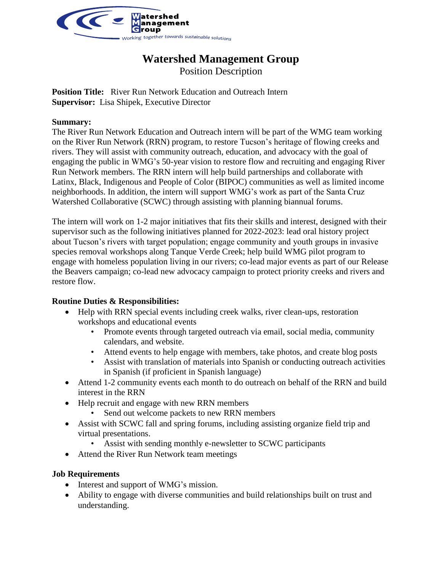

# **Watershed Management Group**

Position Description

**Position Title:** River Run Network Education and Outreach Intern **Supervisor:** Lisa Shipek, Executive Director

#### **Summary:**

The River Run Network Education and Outreach intern will be part of the WMG team working on the River Run Network (RRN) program, to restore Tucson's heritage of flowing creeks and rivers. They will assist with community outreach, education, and advocacy with the goal of engaging the public in WMG's 50-year vision to restore flow and recruiting and engaging River Run Network members. The RRN intern will help build partnerships and collaborate with Latinx, Black, Indigenous and People of Color (BIPOC) communities as well as limited income neighborhoods. In addition, the intern will support WMG's work as part of the Santa Cruz Watershed Collaborative (SCWC) through assisting with planning biannual forums.

The intern will work on 1-2 major initiatives that fits their skills and interest, designed with their supervisor such as the following initiatives planned for 2022-2023: lead oral history project about Tucson's rivers with target population; engage community and youth groups in invasive species removal workshops along Tanque Verde Creek; help build WMG pilot program to engage with homeless population living in our rivers; co-lead major events as part of our Release the Beavers campaign; co-lead new advocacy campaign to protect priority creeks and rivers and restore flow.

### **Routine Duties & Responsibilities:**

- Help with RRN special events including creek walks, river clean-ups, restoration workshops and educational events
	- Promote events through targeted outreach via email, social media, community calendars, and website.
	- Attend events to help engage with members, take photos, and create blog posts
	- Assist with translation of materials into Spanish or conducting outreach activities in Spanish (if proficient in Spanish language)
- Attend 1-2 community events each month to do outreach on behalf of the RRN and build interest in the RRN
- Help recruit and engage with new RRN members
	- Send out welcome packets to new RRN members
- Assist with SCWC fall and spring forums, including assisting organize field trip and virtual presentations.
	- Assist with sending monthly e-newsletter to SCWC participants
- Attend the River Run Network team meetings

### **Job Requirements**

- Interest and support of WMG's mission.
- Ability to engage with diverse communities and build relationships built on trust and understanding.